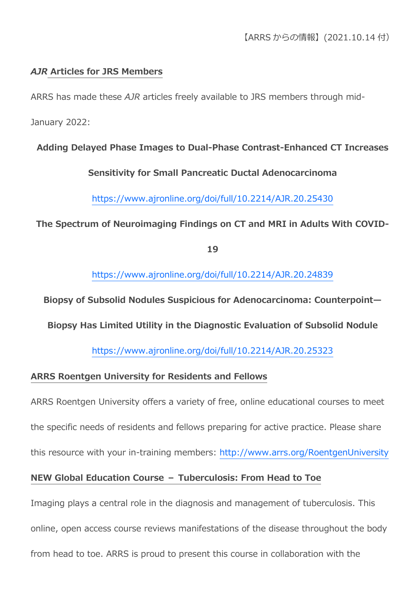## *AJR* **Articles for JRS Members**

ARRS has made these *AJR* articles freely available to JRS members through mid-

January 2022:

### **Adding Delayed Phase Images to Dual-Phase Contrast-Enhanced CT Increases**

### **Sensitivity for Small Pancreatic Ductal Adenocarcinoma**

<https://www.ajronline.org/doi/full/10.2214/AJR.20.25430>

### **The Spectrum of Neuroimaging Findings on CT and MRI in Adults With COVID-**

**19**

<https://www.ajronline.org/doi/full/10.2214/AJR.20.24839>

**Biopsy of Subsolid Nodules Suspicious for Adenocarcinoma: Counterpoint—**

**Biopsy Has Limited Utility in the Diagnostic Evaluation of Subsolid Nodule**

<https://www.ajronline.org/doi/full/10.2214/AJR.20.25323>

#### **ARRS Roentgen University for Residents and Fellows**

ARRS Roentgen University offers a variety of free, online educational courses to meet

the specific needs of residents and fellows preparing for active practice. Please share

this resource with your in-training members: <http://www.arrs.org/RoentgenUniversity>

# **NEW Global Education Course – Tuberculosis: From Head to Toe**

Imaging plays a central role in the diagnosis and management of tuberculosis. This

online, open access course reviews manifestations of the disease throughout the body

from head to toe. ARRS is proud to present this course in collaboration with the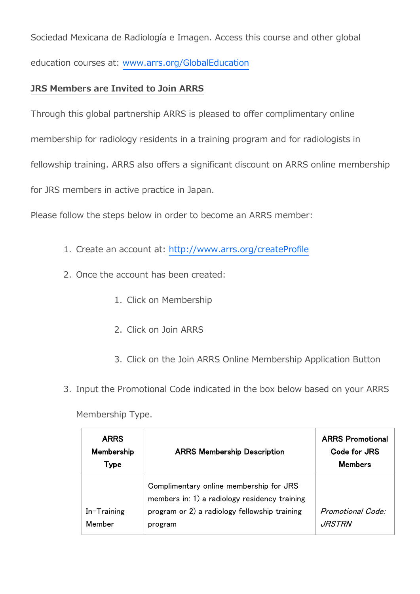Sociedad Mexicana de Radiología e Imagen. Access this course and other global education courses at: [www.arrs.org/GlobalEducation](https://www.arrs.org/GlobalEducation)

## **JRS Members are Invited to Join ARRS**

Through this global partnership ARRS is pleased to offer complimentary online

membership for radiology residents in a training program and for radiologists in

fellowship training. ARRS also offers a significant discount on ARRS online membership

for JRS members in active practice in Japan.

Please follow the steps below in order to become an ARRS member:

- 1. Create an account at: <http://www.arrs.org/createProfile>
- 2. Once the account has been created:
	- 1. Click on Membership
	- 2. Click on Join ARRS
	- 3. Click on the Join ARRS Online Membership Application Button
- 3. Input the Promotional Code indicated in the box below based on your ARRS

Membership Type.

| <b>ARRS</b><br>Membership<br>Type | <b>ARRS Membership Description</b>                                                                                                                   | <b>ARRS Promotional</b><br>Code for JRS<br>Members |
|-----------------------------------|------------------------------------------------------------------------------------------------------------------------------------------------------|----------------------------------------------------|
| In-Training<br>Member             | Complimentary online membership for JRS<br>members in: 1) a radiology residency training<br>program or 2) a radiology fellowship training<br>program | Promotional Code:<br><i>JRSTRN</i>                 |